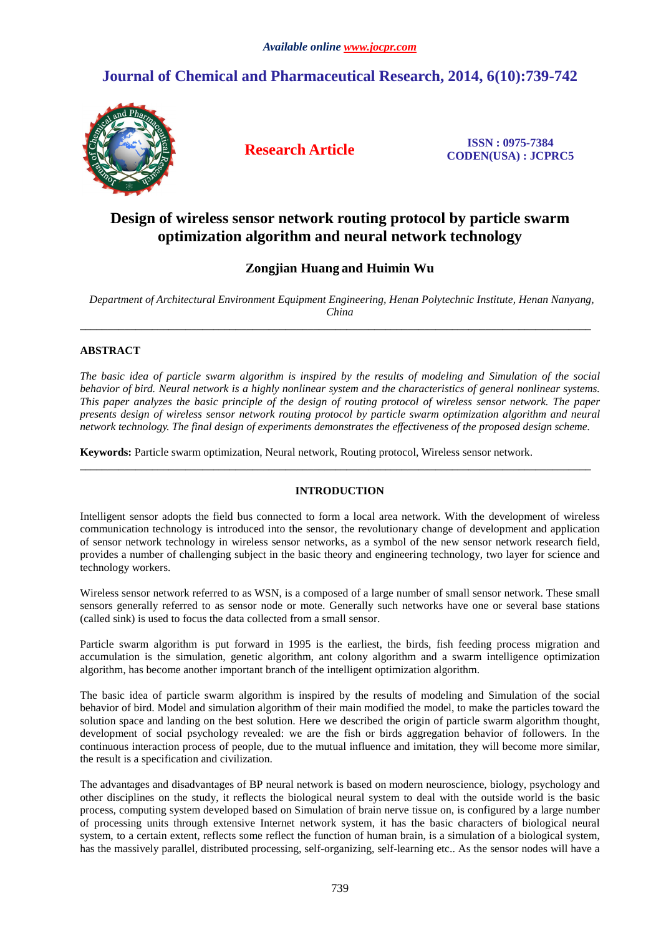# **Journal of Chemical and Pharmaceutical Research, 2014, 6(10):739-742**



**Research Article ISSN : 0975-7384 CODEN(USA) : JCPRC5**

## **Design of wireless sensor network routing protocol by particle swarm optimization algorithm and neural network technology**

## **Zongjian Huang and Huimin Wu**

*Department of Architectural Environment Equipment Engineering, Henan Polytechnic Institute, Henan Nanyang, China* 

 $\overline{\phantom{a}}$  , and the set of the set of the set of the set of the set of the set of the set of the set of the set of the set of the set of the set of the set of the set of the set of the set of the set of the set of the s

## **ABSTRACT**

*The basic idea of particle swarm algorithm is inspired by the results of modeling and Simulation of the social behavior of bird. Neural network is a highly nonlinear system and the characteristics of general nonlinear systems. This paper analyzes the basic principle of the design of routing protocol of wireless sensor network. The paper presents design of wireless sensor network routing protocol by particle swarm optimization algorithm and neural network technology. The final design of experiments demonstrates the effectiveness of the proposed design scheme.* 

**Keywords:** Particle swarm optimization, Neural network, Routing protocol, Wireless sensor network.

## **INTRODUCTION**

\_\_\_\_\_\_\_\_\_\_\_\_\_\_\_\_\_\_\_\_\_\_\_\_\_\_\_\_\_\_\_\_\_\_\_\_\_\_\_\_\_\_\_\_\_\_\_\_\_\_\_\_\_\_\_\_\_\_\_\_\_\_\_\_\_\_\_\_\_\_\_\_\_\_\_\_\_\_\_\_\_\_\_\_\_\_\_\_\_\_\_\_

Intelligent sensor adopts the field bus connected to form a local area network. With the development of wireless communication technology is introduced into the sensor, the revolutionary change of development and application of sensor network technology in wireless sensor networks, as a symbol of the new sensor network research field, provides a number of challenging subject in the basic theory and engineering technology, two layer for science and technology workers.

Wireless sensor network referred to as WSN, is a composed of a large number of small sensor network. These small sensors generally referred to as sensor node or mote. Generally such networks have one or several base stations (called sink) is used to focus the data collected from a small sensor.

Particle swarm algorithm is put forward in 1995 is the earliest, the birds, fish feeding process migration and accumulation is the simulation, genetic algorithm, ant colony algorithm and a swarm intelligence optimization algorithm, has become another important branch of the intelligent optimization algorithm.

The basic idea of particle swarm algorithm is inspired by the results of modeling and Simulation of the social behavior of bird. Model and simulation algorithm of their main modified the model, to make the particles toward the solution space and landing on the best solution. Here we described the origin of particle swarm algorithm thought, development of social psychology revealed: we are the fish or birds aggregation behavior of followers. In the continuous interaction process of people, due to the mutual influence and imitation, they will become more similar, the result is a specification and civilization.

The advantages and disadvantages of BP neural network is based on modern neuroscience, biology, psychology and other disciplines on the study, it reflects the biological neural system to deal with the outside world is the basic process, computing system developed based on Simulation of brain nerve tissue on, is configured by a large number of processing units through extensive Internet network system, it has the basic characters of biological neural system, to a certain extent, reflects some reflect the function of human brain, is a simulation of a biological system, has the massively parallel, distributed processing, self-organizing, self-learning etc.. As the sensor nodes will have a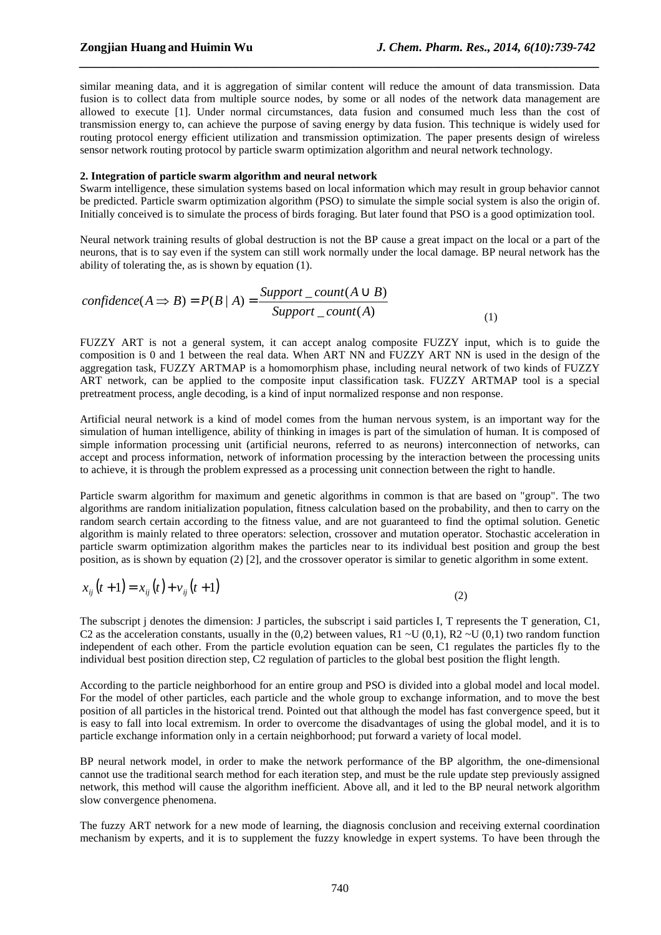similar meaning data, and it is aggregation of similar content will reduce the amount of data transmission. Data fusion is to collect data from multiple source nodes, by some or all nodes of the network data management are allowed to execute [1]. Under normal circumstances, data fusion and consumed much less than the cost of transmission energy to, can achieve the purpose of saving energy by data fusion. This technique is widely used for routing protocol energy efficient utilization and transmission optimization. The paper presents design of wireless sensor network routing protocol by particle swarm optimization algorithm and neural network technology.

*\_\_\_\_\_\_\_\_\_\_\_\_\_\_\_\_\_\_\_\_\_\_\_\_\_\_\_\_\_\_\_\_\_\_\_\_\_\_\_\_\_\_\_\_\_\_\_\_\_\_\_\_\_\_\_\_\_\_\_\_\_\_\_\_\_\_\_\_\_\_\_\_\_\_\_\_\_\_*

#### **2. Integration of particle swarm algorithm and neural network**

Swarm intelligence, these simulation systems based on local information which may result in group behavior cannot be predicted. Particle swarm optimization algorithm (PSO) to simulate the simple social system is also the origin of. Initially conceived is to simulate the process of birds foraging. But later found that PSO is a good optimization tool.

Neural network training results of global destruction is not the BP cause a great impact on the local or a part of the neurons, that is to say even if the system can still work normally under the local damage. BP neural network has the ability of tolerating the, as is shown by equation (1).

$$
confidence(A \Rightarrow B) = P(B | A) = \frac{Support\_count(A \cup B)}{Support\_count(A)}
$$
\n(1)

FUZZY ART is not a general system, it can accept analog composite FUZZY input, which is to guide the composition is 0 and 1 between the real data. When ART NN and FUZZY ART NN is used in the design of the aggregation task, FUZZY ARTMAP is a homomorphism phase, including neural network of two kinds of FUZZY ART network, can be applied to the composite input classification task. FUZZY ARTMAP tool is a special pretreatment process, angle decoding, is a kind of input normalized response and non response.

Artificial neural network is a kind of model comes from the human nervous system, is an important way for the simulation of human intelligence, ability of thinking in images is part of the simulation of human. It is composed of simple information processing unit (artificial neurons, referred to as neurons) interconnection of networks, can accept and process information, network of information processing by the interaction between the processing units to achieve, it is through the problem expressed as a processing unit connection between the right to handle.

Particle swarm algorithm for maximum and genetic algorithms in common is that are based on "group". The two algorithms are random initialization population, fitness calculation based on the probability, and then to carry on the random search certain according to the fitness value, and are not guaranteed to find the optimal solution. Genetic algorithm is mainly related to three operators: selection, crossover and mutation operator. Stochastic acceleration in particle swarm optimization algorithm makes the particles near to its individual best position and group the best position, as is shown by equation (2) [2], and the crossover operator is similar to genetic algorithm in some extent.

$$
x_{ij}(t+1) = x_{ij}(t) + v_{ij}(t+1)
$$
\n(2)

The subscript j denotes the dimension: J particles, the subscript i said particles I, T represents the T generation, C1, C2 as the acceleration constants, usually in the (0,2) between values, R1  $\sim$ U (0,1), R2  $\sim$ U (0,1) two random function independent of each other. From the particle evolution equation can be seen, C1 regulates the particles fly to the individual best position direction step, C2 regulation of particles to the global best position the flight length.

According to the particle neighborhood for an entire group and PSO is divided into a global model and local model. For the model of other particles, each particle and the whole group to exchange information, and to move the best position of all particles in the historical trend. Pointed out that although the model has fast convergence speed, but it is easy to fall into local extremism. In order to overcome the disadvantages of using the global model, and it is to particle exchange information only in a certain neighborhood; put forward a variety of local model.

BP neural network model, in order to make the network performance of the BP algorithm, the one-dimensional cannot use the traditional search method for each iteration step, and must be the rule update step previously assigned network, this method will cause the algorithm inefficient. Above all, and it led to the BP neural network algorithm slow convergence phenomena.

The fuzzy ART network for a new mode of learning, the diagnosis conclusion and receiving external coordination mechanism by experts, and it is to supplement the fuzzy knowledge in expert systems. To have been through the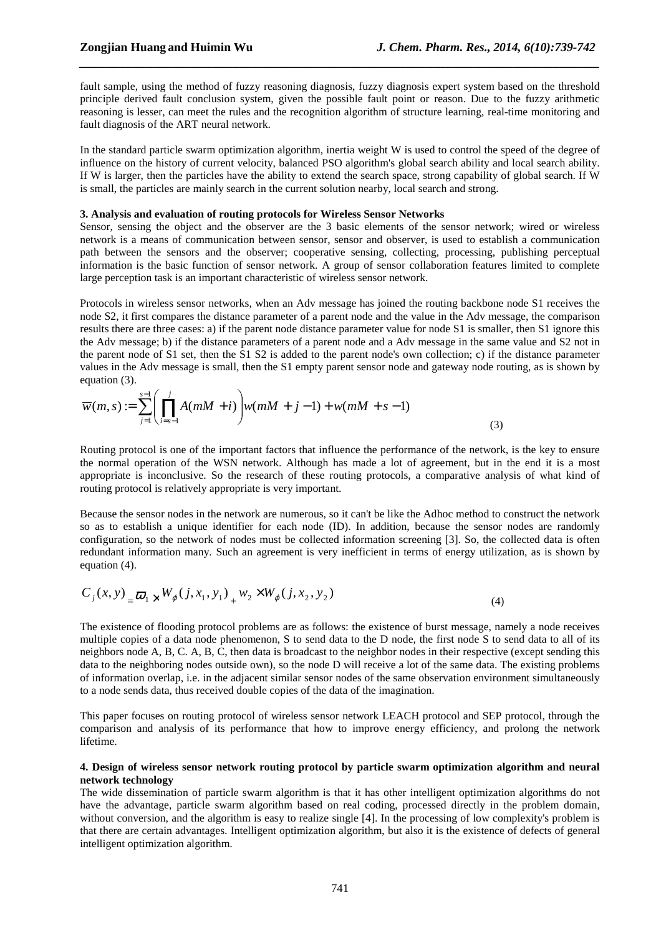fault sample, using the method of fuzzy reasoning diagnosis, fuzzy diagnosis expert system based on the threshold principle derived fault conclusion system, given the possible fault point or reason. Due to the fuzzy arithmetic reasoning is lesser, can meet the rules and the recognition algorithm of structure learning, real-time monitoring and fault diagnosis of the ART neural network.

*\_\_\_\_\_\_\_\_\_\_\_\_\_\_\_\_\_\_\_\_\_\_\_\_\_\_\_\_\_\_\_\_\_\_\_\_\_\_\_\_\_\_\_\_\_\_\_\_\_\_\_\_\_\_\_\_\_\_\_\_\_\_\_\_\_\_\_\_\_\_\_\_\_\_\_\_\_\_*

In the standard particle swarm optimization algorithm, inertia weight W is used to control the speed of the degree of influence on the history of current velocity, balanced PSO algorithm's global search ability and local search ability. If W is larger, then the particles have the ability to extend the search space, strong capability of global search. If W is small, the particles are mainly search in the current solution nearby, local search and strong.

#### **3. Analysis and evaluation of routing protocols for Wireless Sensor Networks**

Sensor, sensing the object and the observer are the 3 basic elements of the sensor network; wired or wireless network is a means of communication between sensor, sensor and observer, is used to establish a communication path between the sensors and the observer; cooperative sensing, collecting, processing, publishing perceptual information is the basic function of sensor network. A group of sensor collaboration features limited to complete large perception task is an important characteristic of wireless sensor network.

Protocols in wireless sensor networks, when an Adv message has joined the routing backbone node S1 receives the node S2, it first compares the distance parameter of a parent node and the value in the Adv message, the comparison results there are three cases: a) if the parent node distance parameter value for node S1 is smaller, then S1 ignore this the Adv message; b) if the distance parameters of a parent node and a Adv message in the same value and S2 not in the parent node of S1 set, then the S1 S2 is added to the parent node's own collection; c) if the distance parameter values in the Adv message is small, then the S1 empty parent sensor node and gateway node routing, as is shown by equation (3).

$$
\overline{w}(m,s) := \sum_{j=1}^{s-1} \left( \prod_{i=s-1}^{j} A(mM+i) \right) w(mM+j-1) + w(mM+s-1)
$$
\n(3)

Routing protocol is one of the important factors that influence the performance of the network, is the key to ensure the normal operation of the WSN network. Although has made a lot of agreement, but in the end it is a most appropriate is inconclusive. So the research of these routing protocols, a comparative analysis of what kind of routing protocol is relatively appropriate is very important.

Because the sensor nodes in the network are numerous, so it can't be like the Adhoc method to construct the network so as to establish a unique identifier for each node (ID). In addition, because the sensor nodes are randomly configuration, so the network of nodes must be collected information screening [3]. So, the collected data is often redundant information many. Such an agreement is very inefficient in terms of energy utilization, as is shown by equation (4).

$$
C_j(x, y) = \frac{\omega_1}{\omega_1} \times W_{\varphi}(j, x_1, y_1) + w_2 \times W_{\varphi}(j, x_2, y_2)
$$
\n(4)

The existence of flooding protocol problems are as follows: the existence of burst message, namely a node receives multiple copies of a data node phenomenon, S to send data to the D node, the first node S to send data to all of its neighbors node A, B, C. A, B, C, then data is broadcast to the neighbor nodes in their respective (except sending this data to the neighboring nodes outside own), so the node D will receive a lot of the same data. The existing problems of information overlap, i.e. in the adjacent similar sensor nodes of the same observation environment simultaneously to a node sends data, thus received double copies of the data of the imagination.

This paper focuses on routing protocol of wireless sensor network LEACH protocol and SEP protocol, through the comparison and analysis of its performance that how to improve energy efficiency, and prolong the network lifetime.

### **4. Design of wireless sensor network routing protocol by particle swarm optimization algorithm and neural network technology**

The wide dissemination of particle swarm algorithm is that it has other intelligent optimization algorithms do not have the advantage, particle swarm algorithm based on real coding, processed directly in the problem domain, without conversion, and the algorithm is easy to realize single [4]. In the processing of low complexity's problem is that there are certain advantages. Intelligent optimization algorithm, but also it is the existence of defects of general intelligent optimization algorithm.